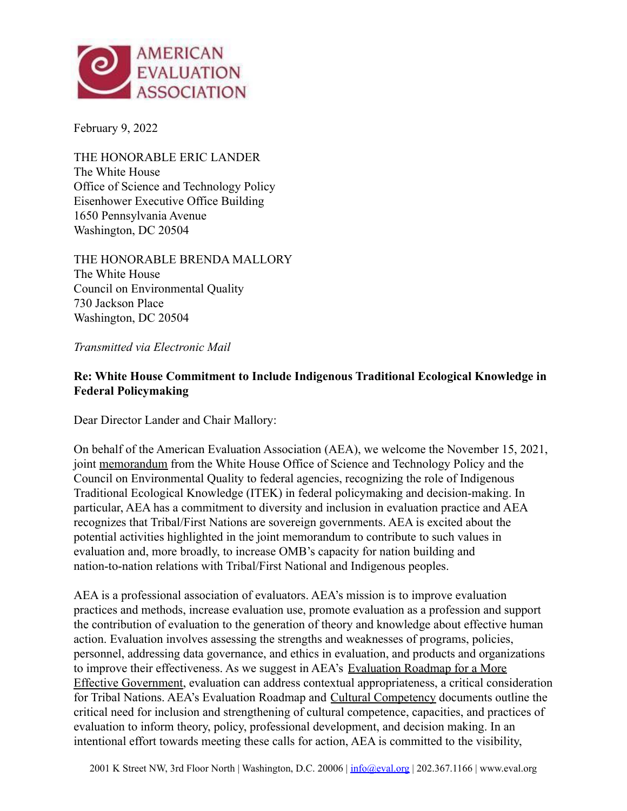

February 9, 2022

THE HONORABLE ERIC LANDER The White House Office of Science and Technology Policy Eisenhower Executive Office Building 1650 Pennsylvania Avenue Washington, DC 20504

THE HONORABLE BRENDA MALLORY The White House Council on Environmental Quality 730 Jackson Place Washington, DC 20504

*Transmitted via Electronic Mail*

## **Re: White House Commitment to Include Indigenous Traditional Ecological Knowledge in Federal Policymaking**

Dear Director Lander and Chair Mallory:

On behalf of the American Evaluation Association (AEA), we welcome the November 15, 2021, joint [memorandum](https://www.whitehouse.gov/ceq/news-updates/2021/11/15/white-house-commits-to-elevating-indigenous-knowledge-in-federal-policy-decisions/) from the White House Office of Science and Technology Policy and the Council on Environmental Quality to federal agencies, recognizing the role of Indigenous Traditional Ecological Knowledge (ITEK) in federal policymaking and decision-making. In particular, AEA has a commitment to diversity and inclusion in evaluation practice and AEA recognizes that Tribal/First Nations are sovereign governments. AEA is excited about the potential activities highlighted in the joint memorandum to contribute to such values in evaluation and, more broadly, to increase OMB's capacity for nation building and nation-to-nation relations with Tribal/First National and Indigenous peoples.

AEA is a professional association of evaluators. AEA's mission is to improve evaluation practices and methods, increase evaluation use, promote evaluation as a profession and support the contribution of evaluation to the generation of theory and knowledge about effective human action. Evaluation involves assessing the strengths and weaknesses of programs, policies, personnel, addressing data governance, and ethics in evaluation, and products and organizations to improve their effectiveness. As we suggest in AEA's [Evaluation Roadmap for a More](https://www.eval.org/Portals/0/Docs/AEA%20Evaluation%20Roadmap%202019%20Update%20FINAL.pdf) [Effective Government,](https://www.eval.org/Portals/0/Docs/AEA%20Evaluation%20Roadmap%202019%20Update%20FINAL.pdf) evaluation can address contextual appropriateness, a critical consideration for Tribal Nations. AEA's Evaluation Roadmap and Cultural [Competency](https://www.eval.org/Portals/0/Docs/AEA%20Statement%201%20pager%20Sent%20to%20AC%205%2007%202013.pdf) documents outline the critical need for inclusion and strengthening of cultural competence, capacities, and practices of evaluation to inform theory, policy, professional development, and decision making. In an intentional effort towards meeting these calls for action, AEA is committed to the visibility,